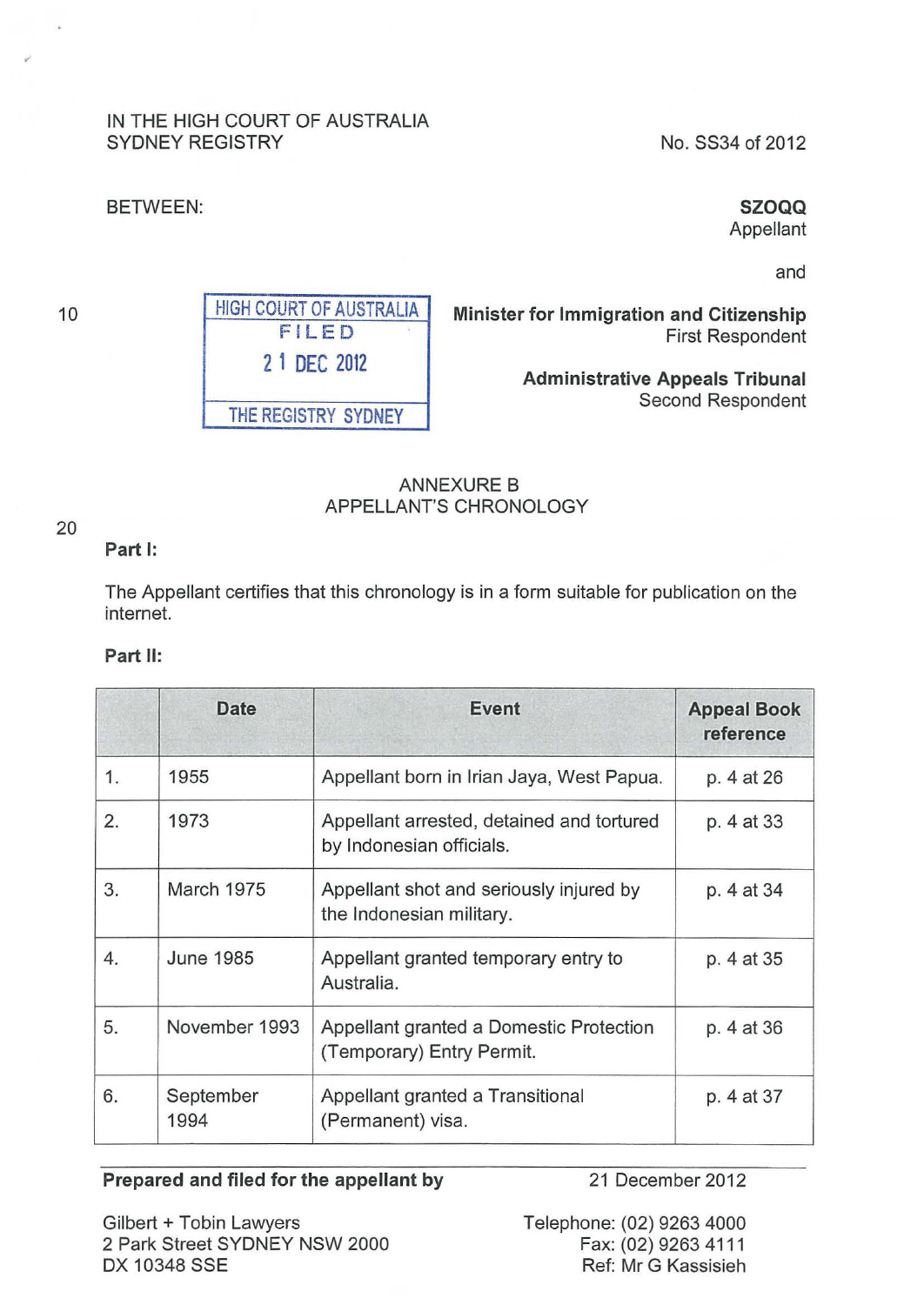## IN THE HIGH COURT OF AUSTRALIA SYDNEY REGISTRY No. SS34 of 2012

HIGH COURT OF AUSTRALIA FILED

**2 1 DEC** <sup>2012</sup>

THE REGISTRY SYDNEY

#### BETWEEN: **SZOQQ**

Appellant

and

**Minister for Immigration and Citizenship**  First Respondent

> **Administrative Appeals Tribunal**  Second Respondent

# ANNEXURE B APPELLANT'S CHRONOLOGY

## **Part 1:**

The Appellant certifies that this chronology is in a form suitable for publication on the internet.

## **Part** II:

|    | <b>Date</b>       | <b>Event</b>                                                          | <b>Appeal Book</b><br>reference |
|----|-------------------|-----------------------------------------------------------------------|---------------------------------|
| 1. | 1955              | Appellant born in Irian Jaya, West Papua.                             | p. 4 at 26                      |
| 2. | 1973              | Appellant arrested, detained and tortured<br>by Indonesian officials. | p. 4 at 33                      |
| 3. | March 1975        | Appellant shot and seriously injured by<br>the Indonesian military.   | p. 4 at 34                      |
| 4. | <b>June 1985</b>  | Appellant granted temporary entry to<br>Australia.                    | p. 4 at 35                      |
| 5. | November 1993     | Appellant granted a Domestic Protection<br>(Temporary) Entry Permit.  | p. 4 at 36                      |
| 6. | September<br>1994 | Appellant granted a Transitional<br>(Permanent) visa.                 | p. 4 at 37                      |

#### **Prepared and filed for the appellant by** 21 December 2012

Gilbert+ Tobin Lawyers 2 Park Street SYDNEY NSW 2000 DX 10348 SSE

Telephone: (02) 9263 4000 Fax: (02) 9263 4111 Ref: Mr G Kassisieh

## 20

10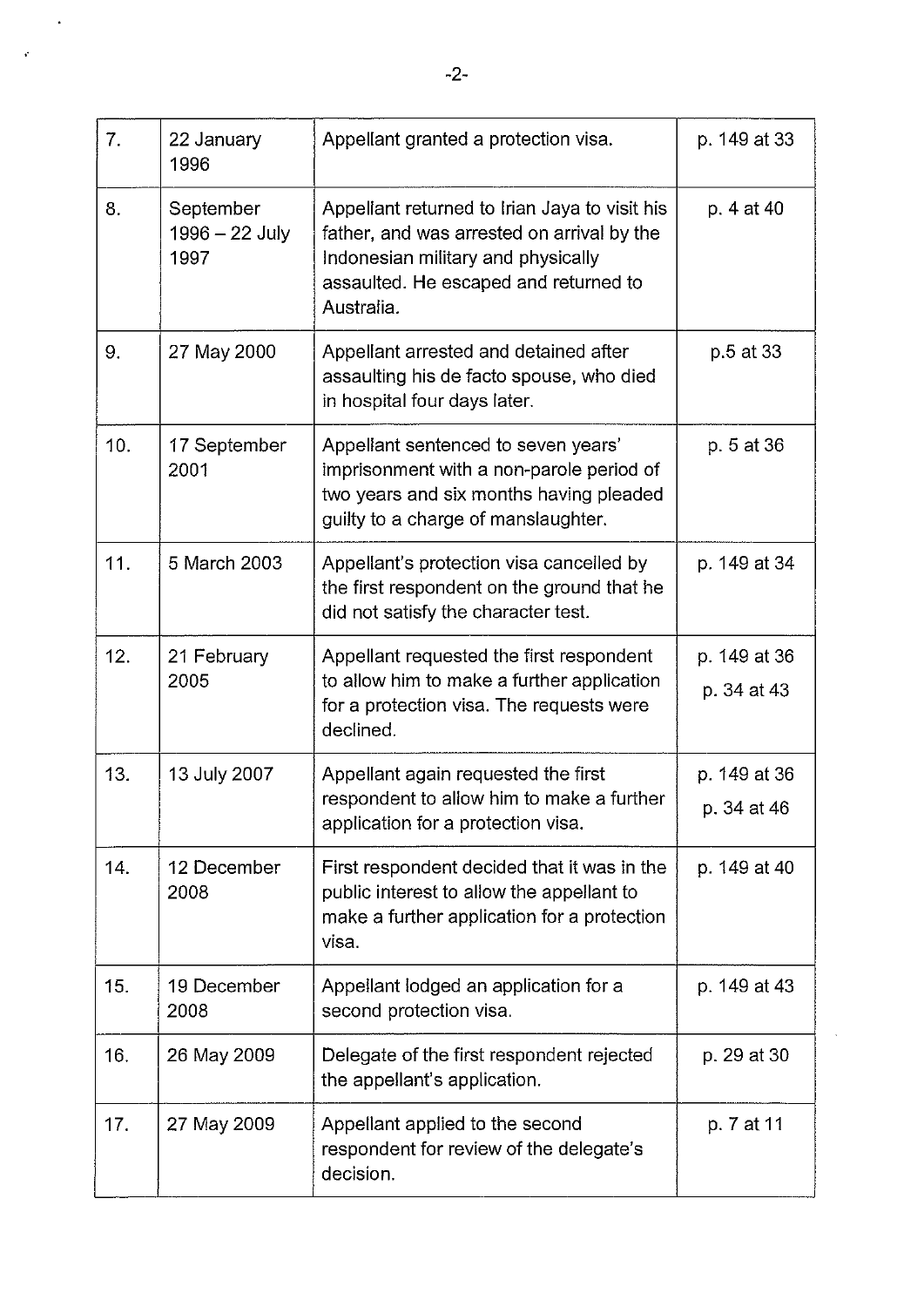| 7.  | 22 January<br>1996                  | Appellant granted a protection visa.                                                                                                                                                     | p. 149 at 33                |
|-----|-------------------------------------|------------------------------------------------------------------------------------------------------------------------------------------------------------------------------------------|-----------------------------|
| 8.  | September<br>1996 - 22 July<br>1997 | Appellant returned to Irian Jaya to visit his<br>father, and was arrested on arrival by the<br>Indonesian military and physically<br>assaulted. He escaped and returned to<br>Australia. | p. 4 at 40                  |
| 9.  | 27 May 2000                         | Appellant arrested and detained after<br>assaulting his de facto spouse, who died<br>in hospital four days later.                                                                        | p.5 at 33                   |
| 10. | 17 September<br>2001                | Appellant sentenced to seven years'<br>imprisonment with a non-parole period of<br>two years and six months having pleaded<br>quilty to a charge of manslaughter.                        | p. 5 at 36                  |
| 11. | 5 March 2003                        | Appellant's protection visa cancelled by<br>the first respondent on the ground that he<br>did not satisfy the character test.                                                            | p. 149 at 34                |
| 12. | 21 February<br>2005                 | Appellant requested the first respondent<br>to allow him to make a further application<br>for a protection visa. The requests were<br>declined.                                          | p. 149 at 36<br>p. 34 at 43 |
| 13. | 13 July 2007                        | Appellant again requested the first<br>respondent to allow him to make a further<br>application for a protection visa.                                                                   | p. 149 at 36<br>p. 34 at 46 |
| 14. | 12 December<br>2008                 | First respondent decided that it was in the<br>public interest to allow the appellant to<br>make a further application for a protection<br>visa.                                         | p. 149 at 40                |
| 15. | 19 December<br>2008                 | Appellant lodged an application for a<br>second protection visa.                                                                                                                         | p. 149 at 43                |
| 16. | 26 May 2009                         | Delegate of the first respondent rejected<br>the appellant's application.                                                                                                                | p. 29 at 30                 |
| 17. | 27 May 2009                         | Appellant applied to the second<br>respondent for review of the delegate's<br>decision.                                                                                                  | p. 7 at 11                  |

 $\hat{\boldsymbol{\cdot}$ 

 $\mathbf{v}$